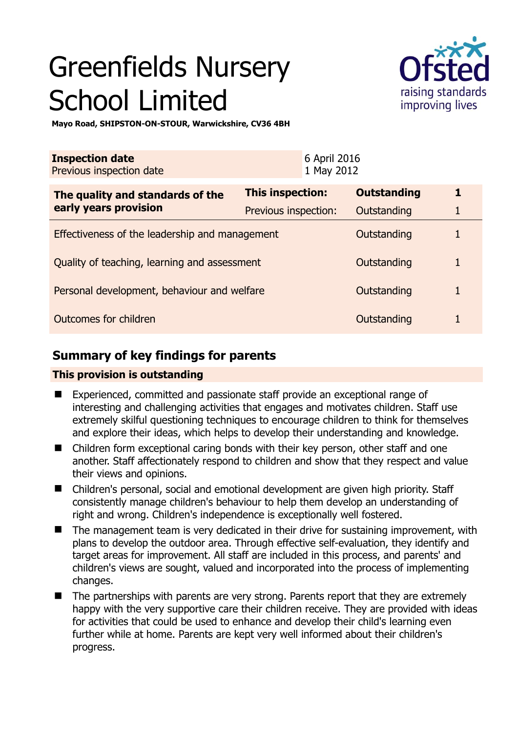# Greenfields Nursery School Limited



**Mayo Road, SHIPSTON-ON-STOUR, Warwickshire, CV36 4BH** 

| <b>Inspection date</b><br>Previous inspection date        |                      | 6 April 2016<br>1 May 2012 |                    |   |
|-----------------------------------------------------------|----------------------|----------------------------|--------------------|---|
| The quality and standards of the<br>early years provision | This inspection:     |                            | <b>Outstanding</b> | 1 |
|                                                           | Previous inspection: |                            | Outstanding        | 1 |
| Effectiveness of the leadership and management            |                      |                            | Outstanding        |   |
| Quality of teaching, learning and assessment              |                      |                            | Outstanding        | 1 |
| Personal development, behaviour and welfare               |                      |                            | Outstanding        | 1 |
| Outcomes for children                                     |                      |                            | Outstanding        |   |

## **Summary of key findings for parents**

## **This provision is outstanding**

- Experienced, committed and passionate staff provide an exceptional range of interesting and challenging activities that engages and motivates children. Staff use extremely skilful questioning techniques to encourage children to think for themselves and explore their ideas, which helps to develop their understanding and knowledge.
- Children form exceptional caring bonds with their key person, other staff and one another. Staff affectionately respond to children and show that they respect and value their views and opinions.
- Children's personal, social and emotional development are given high priority. Staff consistently manage children's behaviour to help them develop an understanding of right and wrong. Children's independence is exceptionally well fostered.
- The management team is very dedicated in their drive for sustaining improvement, with plans to develop the outdoor area. Through effective self-evaluation, they identify and target areas for improvement. All staff are included in this process, and parents' and children's views are sought, valued and incorporated into the process of implementing changes.
- The partnerships with parents are very strong. Parents report that they are extremely happy with the very supportive care their children receive. They are provided with ideas for activities that could be used to enhance and develop their child's learning even further while at home. Parents are kept very well informed about their children's progress.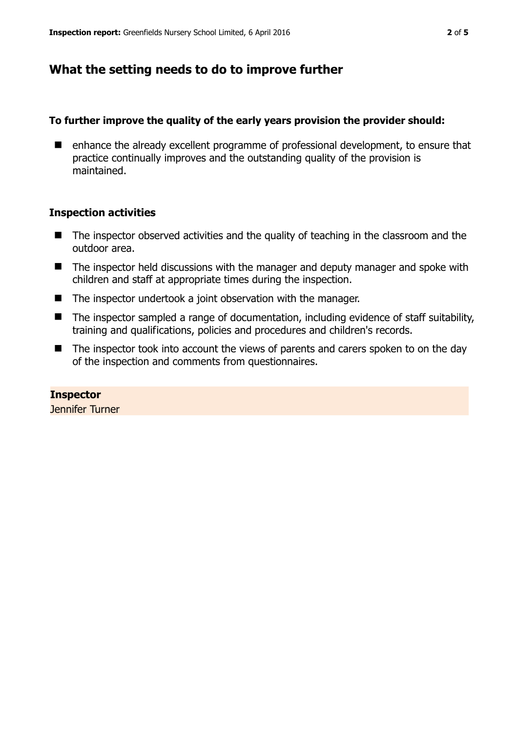## **What the setting needs to do to improve further**

#### **To further improve the quality of the early years provision the provider should:**

■ enhance the already excellent programme of professional development, to ensure that practice continually improves and the outstanding quality of the provision is maintained.

#### **Inspection activities**

- The inspector observed activities and the quality of teaching in the classroom and the outdoor area.
- The inspector held discussions with the manager and deputy manager and spoke with children and staff at appropriate times during the inspection.
- The inspector undertook a joint observation with the manager.
- The inspector sampled a range of documentation, including evidence of staff suitability, training and qualifications, policies and procedures and children's records.
- The inspector took into account the views of parents and carers spoken to on the day of the inspection and comments from questionnaires.

**Inspector**  Jennifer Turner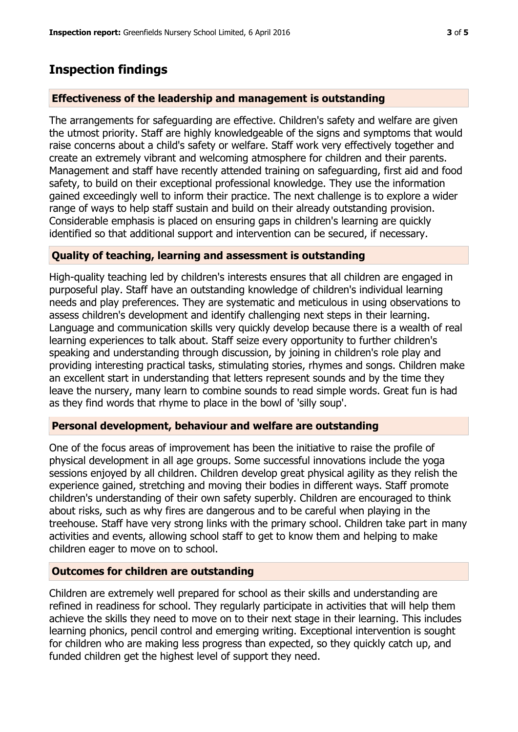# **Inspection findings**

## **Effectiveness of the leadership and management is outstanding**

The arrangements for safeguarding are effective. Children's safety and welfare are given the utmost priority. Staff are highly knowledgeable of the signs and symptoms that would raise concerns about a child's safety or welfare. Staff work very effectively together and create an extremely vibrant and welcoming atmosphere for children and their parents. Management and staff have recently attended training on safeguarding, first aid and food safety, to build on their exceptional professional knowledge. They use the information gained exceedingly well to inform their practice. The next challenge is to explore a wider range of ways to help staff sustain and build on their already outstanding provision. Considerable emphasis is placed on ensuring gaps in children's learning are quickly identified so that additional support and intervention can be secured, if necessary.

## **Quality of teaching, learning and assessment is outstanding**

High-quality teaching led by children's interests ensures that all children are engaged in purposeful play. Staff have an outstanding knowledge of children's individual learning needs and play preferences. They are systematic and meticulous in using observations to assess children's development and identify challenging next steps in their learning. Language and communication skills very quickly develop because there is a wealth of real learning experiences to talk about. Staff seize every opportunity to further children's speaking and understanding through discussion, by joining in children's role play and providing interesting practical tasks, stimulating stories, rhymes and songs. Children make an excellent start in understanding that letters represent sounds and by the time they leave the nursery, many learn to combine sounds to read simple words. Great fun is had as they find words that rhyme to place in the bowl of 'silly soup'.

### **Personal development, behaviour and welfare are outstanding**

One of the focus areas of improvement has been the initiative to raise the profile of physical development in all age groups. Some successful innovations include the yoga sessions enjoyed by all children. Children develop great physical agility as they relish the experience gained, stretching and moving their bodies in different ways. Staff promote children's understanding of their own safety superbly. Children are encouraged to think about risks, such as why fires are dangerous and to be careful when playing in the treehouse. Staff have very strong links with the primary school. Children take part in many activities and events, allowing school staff to get to know them and helping to make children eager to move on to school.

## **Outcomes for children are outstanding**

Children are extremely well prepared for school as their skills and understanding are refined in readiness for school. They regularly participate in activities that will help them achieve the skills they need to move on to their next stage in their learning. This includes learning phonics, pencil control and emerging writing. Exceptional intervention is sought for children who are making less progress than expected, so they quickly catch up, and funded children get the highest level of support they need.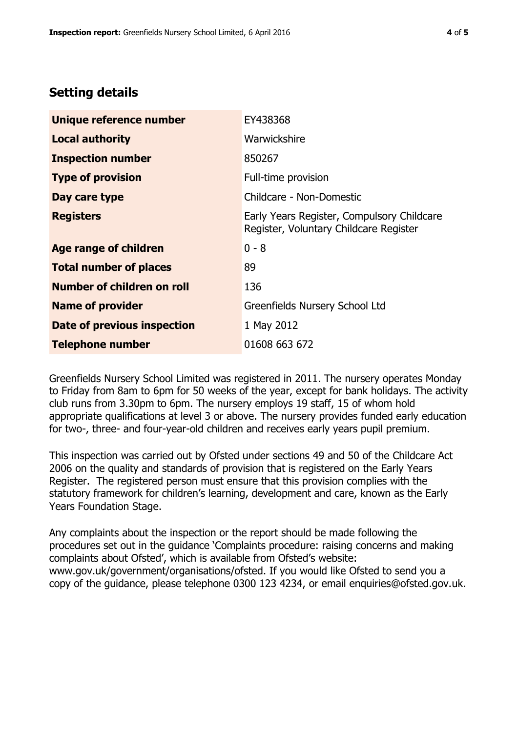## **Setting details**

| Unique reference number       | EY438368                                                                             |  |
|-------------------------------|--------------------------------------------------------------------------------------|--|
| <b>Local authority</b>        | Warwickshire                                                                         |  |
| <b>Inspection number</b>      | 850267                                                                               |  |
| <b>Type of provision</b>      | Full-time provision                                                                  |  |
| Day care type                 | Childcare - Non-Domestic                                                             |  |
| <b>Registers</b>              | Early Years Register, Compulsory Childcare<br>Register, Voluntary Childcare Register |  |
| <b>Age range of children</b>  | $0 - 8$                                                                              |  |
| <b>Total number of places</b> | 89                                                                                   |  |
| Number of children on roll    | 136                                                                                  |  |
| <b>Name of provider</b>       | Greenfields Nursery School Ltd                                                       |  |
| Date of previous inspection   | 1 May 2012                                                                           |  |
| <b>Telephone number</b>       | 01608 663 672                                                                        |  |

Greenfields Nursery School Limited was registered in 2011. The nursery operates Monday to Friday from 8am to 6pm for 50 weeks of the year, except for bank holidays. The activity club runs from 3.30pm to 6pm. The nursery employs 19 staff, 15 of whom hold appropriate qualifications at level 3 or above. The nursery provides funded early education for two-, three- and four-year-old children and receives early years pupil premium.

This inspection was carried out by Ofsted under sections 49 and 50 of the Childcare Act 2006 on the quality and standards of provision that is registered on the Early Years Register. The registered person must ensure that this provision complies with the statutory framework for children's learning, development and care, known as the Early Years Foundation Stage.

Any complaints about the inspection or the report should be made following the procedures set out in the guidance 'Complaints procedure: raising concerns and making complaints about Ofsted', which is available from Ofsted's website: www.gov.uk/government/organisations/ofsted. If you would like Ofsted to send you a copy of the guidance, please telephone 0300 123 4234, or email enquiries@ofsted.gov.uk.